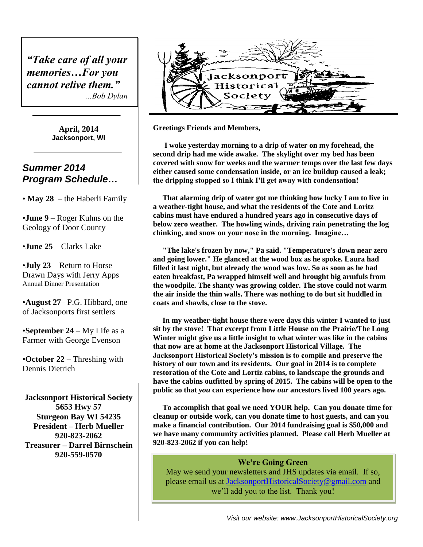*"Take care of all your memories…For you cannot relive them." …Bob Dylan*

> **April, 2014 Jacksonport, WI**

## *Summer 2014 Program Schedule…*

• **May 28** – the Haberli Family

•**June 9** – Roger Kuhns on the Geology of Door County

•**June 25** – Clarks Lake

•**July 23** – Return to Horse Drawn Days with Jerry Apps Annual Dinner Presentation

•**August 27**– P.G. Hibbard, one of Jacksonports first settlers

•**September 24** – My Life as a Farmer with George Evenson

•**October 22** – Threshing with Dennis Dietrich

**Jacksonport Historical Society 5653 Hwy 57 Sturgeon Bay WI 54235 President – Herb Mueller 920-823-2062 Treasurer – Darrel Birnschein 920-559-0570**



**Greetings Friends and Members,**

 **I woke yesterday morning to a drip of water on my forehead, the second drip had me wide awake. The skylight over my bed has been covered with snow for weeks and the warmer temps over the last few days either caused some condensation inside, or an ice buildup caused a leak; the dripping stopped so I think I'll get away with condensation!**

 **That alarming drip of water got me thinking how lucky I am to live in a weather-tight house, and what the residents of the Cote and Loritz cabins must have endured a hundred years ago in consecutive days of below zero weather. The howling winds, driving rain penetrating the log chinking, and snow on your nose in the morning. Imagine…**

 **"The lake's frozen by now," Pa said. "Temperature's down near zero and going lower." He glanced at the wood box as he spoke. Laura had filled it last night, but already the wood was low. So as soon as he had eaten breakfast, Pa wrapped himself well and brought big armfuls from the woodpile. The shanty was growing colder. The stove could not warm the air inside the thin walls. There was nothing to do but sit huddled in coats and shawls, close to the stove.**

 **In my weather-tight house there were days this winter I wanted to just sit by the stove! That excerpt from Little House on the Prairie/The Long Winter might give us a little insight to what winter was like in the cabins that now are at home at the Jacksonport Historical Village. The Jacksonport Historical Society's mission is to compile and preserve the history of our town and its residents. Our goal in 2014 is to complete restoration of the Cote and Lortiz cabins, to landscape the grounds and have the cabins outfitted by spring of 2015. The cabins will be open to the public so that** *you* **can experience how** *our* **ancestors lived 100 years ago.** 

 **To accomplish that goal we need YOUR help. Can you donate time for cleanup or outside work, can you donate time to host guests, and can you make a financial contribution. Our 2014 fundraising goal is \$50,000 and we have many community activities planned. Please call Herb Mueller at 920-823-2062 if you can help!**

#### **We're Going Green**

May we send your newsletters and JHS updates via email. If so, please email us at [JacksonportHistoricalSociety@gmail.com](mailto:JacksonportHistoricalSociety@gmail.com) and we'll add you to the list. Thank you!